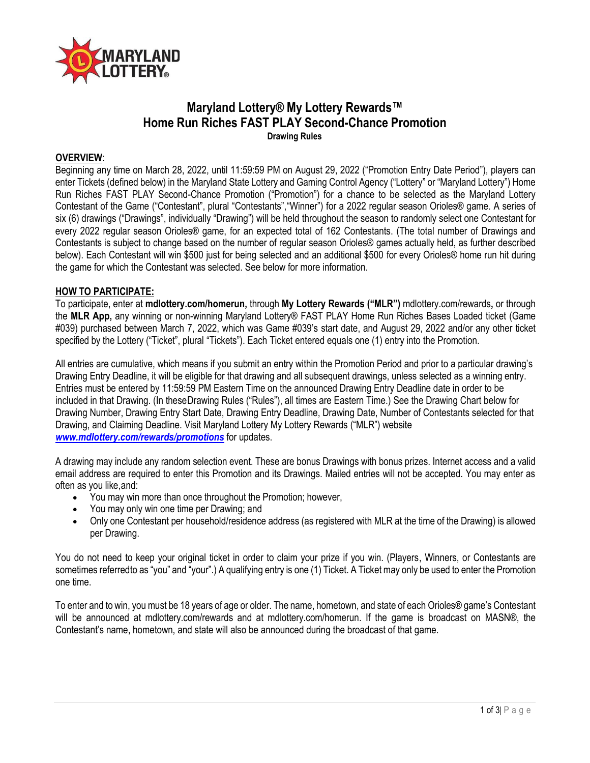

# **Maryland Lottery® My Lottery Rewards™ Home Run Riches FAST PLAY Second-Chance Promotion Drawing Rules**

#### **OVERVIEW**:

Beginning any time on March 28, 2022, until 11:59:59 PM on August 29, 2022 ("Promotion Entry Date Period"), players can enter Tickets (defined below) in the Maryland State Lottery and Gaming Control Agency ("Lottery" or "Maryland Lottery") Home Run Riches FAST PLAY Second-Chance Promotion ("Promotion") for a chance to be selected as the Maryland Lottery Contestant of the Game ("Contestant", plural "Contestants","Winner") for a 2022 regular season Orioles® game. A series of six (6) drawings ("Drawings", individually "Drawing") will be held throughout the season to randomly select one Contestant for every 2022 regular season Orioles® game, for an expected total of 162 Contestants. (The total number of Drawings and Contestants is subject to change based on the number of regular season Orioles® games actually held, as further described below). Each Contestant will win \$500 just for being selected and an additional \$500 for every Orioles® home run hit during the game for which the Contestant was selected. See below for more information.

#### **HOW TO PARTICIPATE:**

To participate, enter at **mdlottery.com/homerun,** through **My Lottery Rewards ("MLR")** mdlottery.com/rewards**,** or through the **MLR App,** any winning or non-winning Maryland Lottery® FAST PLAY Home Run Riches Bases Loaded ticket (Game #039) purchased between March 7, 2022, which was Game #039's start date, and August 29, 2022 and/or any other ticket specified by the Lottery ("Ticket", plural "Tickets"). Each Ticket entered equals one (1) entry into the Promotion.

All entries are cumulative, which means if you submit an entry within the Promotion Period and prior to a particular drawing's Drawing Entry Deadline, it will be eligible for that drawing and all subsequent drawings, unless selected as a winning entry. Entries must be entered by 11:59:59 PM Eastern Time on the announced Drawing Entry Deadline date in order to be included in that Drawing. (In theseDrawing Rules ("Rules"), all times are Eastern Time.) See the Drawing Chart below for Drawing Number, Drawing Entry Start Date, Drawing Entry Deadline, Drawing Date, Number of Contestants selected for that Drawing, and Claiming Deadline. Visit Maryland Lottery My Lottery Rewards ("MLR") website *[www.mdlottery.com/rewards/promotions](http://www.mdlottery.com/rewards/promotions)* for updates.

A drawing may include any random selection event. These are bonus Drawings with bonus prizes. Internet access and a valid email address are required to enter this Promotion and its Drawings. Mailed entries will not be accepted. You may enter as often as you like,and:

- You may win more than once throughout the Promotion; however,
- You may only win one time per Drawing; and
- Only one Contestant per household/residence address (as registered with MLR at the time of the Drawing) is allowed per Drawing.

You do not need to keep your original ticket in order to claim your prize if you win. (Players, Winners, or Contestants are sometimes referredto as "you" and "your".) A qualifying entry is one (1) Ticket. A Ticket may only be used to enter the Promotion one time.

To enter and to win, you must be 18 years of age or older. The name, hometown, and state of each Orioles® game's Contestant will be announced at mdlottery.com/rewards and at mdlottery.com/homerun. If the game is broadcast on MASN®, the Contestant's name, hometown, and state will also be announced during the broadcast of that game.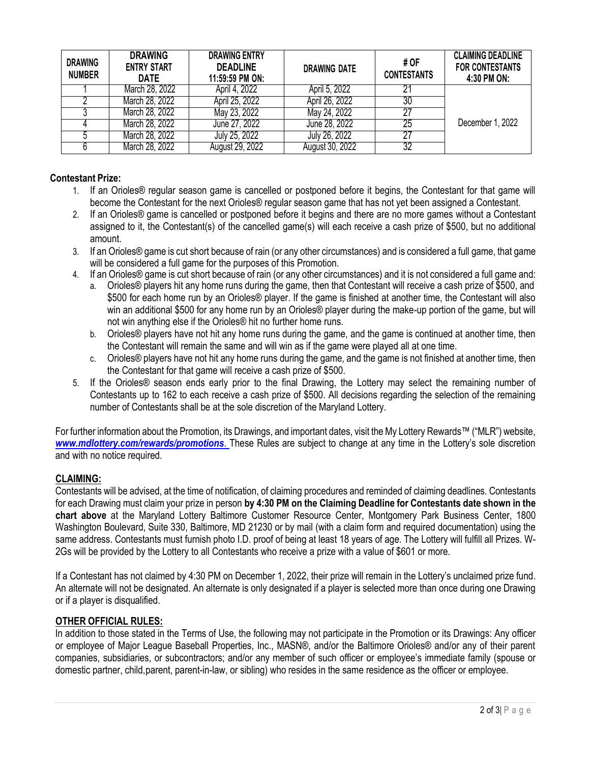| <b>DRAWING</b><br><b>NUMBER</b> | <b>DRAWING</b><br><b>ENTRY START</b><br><b>DATE</b> | <b>DRAWING ENTRY</b><br><b>DEADLINE</b><br>11:59:59 PM ON: | DRAWING DATE    | # OF<br><b>CONTESTANTS</b> | <b>CLAIMING DEADLINE</b><br>FOR CONTESTANTS<br>4:30 PM ON: |
|---------------------------------|-----------------------------------------------------|------------------------------------------------------------|-----------------|----------------------------|------------------------------------------------------------|
|                                 | March 28, 2022                                      | April 4, 2022                                              | April 5, 2022   |                            |                                                            |
|                                 | March 28, 2022                                      | April 25, 2022                                             | April 26, 2022  | 30                         |                                                            |
|                                 | March 28, 2022                                      | May 23, 2022                                               | May 24, 2022    |                            |                                                            |
|                                 | March 28, 2022                                      | June 27, 2022                                              | June 28, 2022   | 25                         | December 1, 2022                                           |
|                                 | March 28, 2022                                      | July 25, 2022                                              | July 26, 2022   |                            |                                                            |
|                                 | March 28, 2022                                      | August 29, 2022                                            | August 30, 2022 | 32                         |                                                            |

## **Contestant Prize:**

- 1. If an Orioles® regular season game is cancelled or postponed before it begins, the Contestant for that game will become the Contestant for the next Orioles® regular season game that has not yet been assigned a Contestant.
- 2. If an Orioles® game is cancelled or postponed before it begins and there are no more games without a Contestant assigned to it, the Contestant(s) of the cancelled game(s) will each receive a cash prize of \$500, but no additional amount.
- 3. If an Orioles® game is cut short because of rain (or any other circumstances) and is considered a full game, that game will be considered a full game for the purposes of this Promotion.
- 4. If an Orioles® game is cut short because of rain (or any other circumstances) and it is not considered a full game and:
	- a. Orioles® players hit any home runs during the game, then that Contestant will receive a cash prize of \$500, and \$500 for each home run by an Orioles® player. If the game is finished at another time, the Contestant will also win an additional \$500 for any home run by an Orioles® player during the make-up portion of the game, but will not win anything else if the Orioles® hit no further home runs.
	- b. Orioles® players have not hit any home runs during the game, and the game is continued at another time, then the Contestant will remain the same and will win as if the game were played all at one time.
	- c. Orioles® players have not hit any home runs during the game, and the game is not finished at another time, then the Contestant for that game will receive a cash prize of \$500.
- 5. If the Orioles® season ends early prior to the final Drawing, the Lottery may select the remaining number of Contestants up to 162 to each receive a cash prize of \$500. All decisions regarding the selection of the remaining number of Contestants shall be at the sole discretion of the Maryland Lottery.

For further information about the Promotion, its Drawings, and important dates, visit the My Lottery Rewards™ ("MLR") website, *[www.mdlottery.com/rewards/promotions](http://www.mdlottery.com/rewards/promotions)*. These Rules are subject to change at any time in the Lottery's sole discretion and with no notice required.

## **CLAIMING:**

Contestants will be advised, at the time of notification, of claiming procedures and reminded of claiming deadlines. Contestants for each Drawing must claim your prize in person **by 4:30 PM on the Claiming Deadline for Contestants date shown in the chart above** at the Maryland Lottery Baltimore Customer Resource Center, Montgomery Park Business Center, 1800 Washington Boulevard, Suite 330, Baltimore, MD 21230 or by mail (with a claim form and required documentation) using the same address. Contestants must furnish photo I.D. proof of being at least 18 years of age. The Lottery will fulfill all Prizes. W-2Gs will be provided by the Lottery to all Contestants who receive a prize with a value of \$601 or more.

If a Contestant has not claimed by 4:30 PM on December 1, 2022, their prize will remain in the Lottery's unclaimed prize fund. An alternate will not be designated. An alternate is only designated if a player is selected more than once during one Drawing or if a player is disqualified.

## **OTHER OFFICIAL RULES:**

In addition to those stated in the Terms of Use, the following may not participate in the Promotion or its Drawings: Any officer or employee of Major League Baseball Properties, Inc., MASN®, and/or the Baltimore Orioles® and/or any of their parent companies, subsidiaries, or subcontractors; and/or any member of such officer or employee's immediate family (spouse or domestic partner, child,parent, parent-in-law, or sibling) who resides in the same residence as the officer or employee.